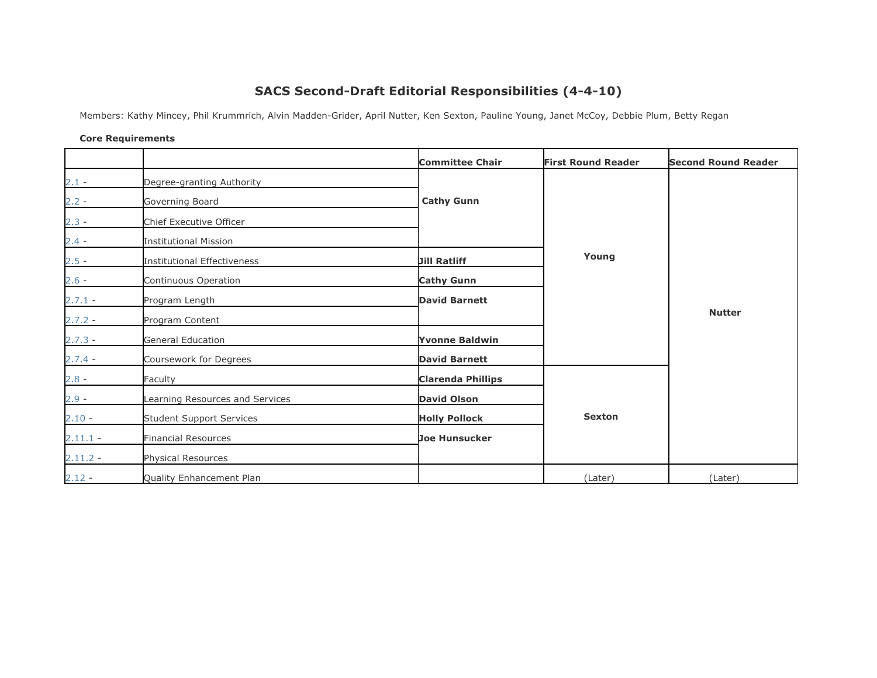## **SACS Second-Draft Editorial Responsibilities (4-4-10)**

Members: Kathy Mincey, Phil Krummrich, Alvin Madden-Grider, April Nutter, Ken Sexton, Pauline Young, Janet McCoy, Debbie Plum, Betty Regan

## **Core Requirements**

|            |                                 | <b>Committee Chair</b>   | <b>First Round Reader</b> | <b>Second Round Reader</b> |
|------------|---------------------------------|--------------------------|---------------------------|----------------------------|
| $2.1 -$    | Degree-granting Authority       |                          |                           |                            |
| $2.2 -$    | Governing Board                 | <b>Cathy Gunn</b>        |                           |                            |
| $2.3 -$    | Chief Executive Officer         |                          |                           |                            |
| $2.4 -$    | <b>Institutional Mission</b>    |                          |                           |                            |
| $2.5 -$    | Institutional Effectiveness     | <b>Jill Ratliff</b>      | Young                     |                            |
| $2.6 -$    | Continuous Operation            | <b>Cathy Gunn</b>        |                           |                            |
| $2.7.1 -$  | Program Length                  | <b>David Barnett</b>     |                           |                            |
| $2.7.2 -$  | Program Content                 |                          |                           | <b>Nutter</b>              |
| $2.7.3 -$  | General Education               | <b>Yvonne Baldwin</b>    |                           |                            |
| $2.7.4 -$  | Coursework for Degrees          | <b>David Barnett</b>     |                           |                            |
| $2.8 -$    | Faculty                         | <b>Clarenda Phillips</b> |                           |                            |
| $2.9 -$    | earning Resources and Services  | <b>David Olson</b>       |                           |                            |
| $2.10 -$   | <b>Student Support Services</b> | <b>Holly Pollock</b>     | <b>Sexton</b>             |                            |
| $2.11.1 -$ | Financial Resources             | <b>Joe Hunsucker</b>     |                           |                            |
| $2.11.2 -$ | Physical Resources              |                          |                           |                            |
| $2.12 -$   | Quality Enhancement Plan        |                          | (Later)                   | (Later)                    |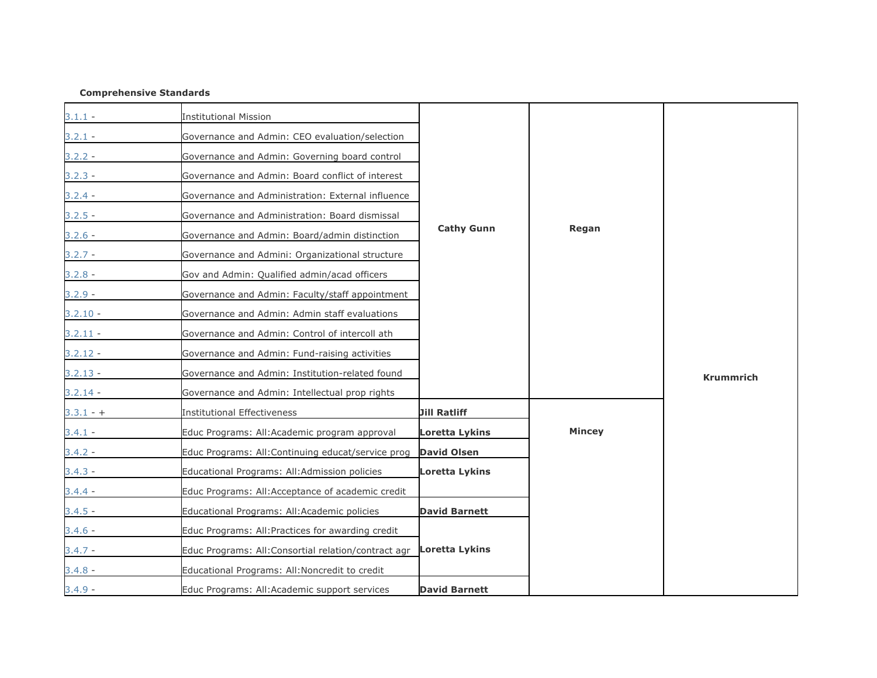## **Comprehensive Standards**

| $3.1.1 -$   | <b>Institutional Mission</b>                         |                       |               |                  |
|-------------|------------------------------------------------------|-----------------------|---------------|------------------|
| $3.2.1 -$   | Governance and Admin: CEO evaluation/selection       |                       |               |                  |
| $3.2.2 -$   | Governance and Admin: Governing board control        |                       |               |                  |
| $3.2.3 -$   | Governance and Admin: Board conflict of interest     |                       |               |                  |
| $3.2.4 -$   | Governance and Administration: External influence    |                       |               |                  |
| $3.2.5 -$   | Governance and Administration: Board dismissal       |                       |               |                  |
| $3.2.6 -$   | Governance and Admin: Board/admin distinction        | <b>Cathy Gunn</b>     | Regan         |                  |
| $3.2.7 -$   | Governance and Admini: Organizational structure      |                       |               |                  |
| $3.2.8 -$   | Gov and Admin: Qualified admin/acad officers         |                       |               |                  |
| $3.2.9 -$   | Governance and Admin: Faculty/staff appointment      |                       |               |                  |
| $3.2.10 -$  | Governance and Admin: Admin staff evaluations        |                       |               |                  |
| $3.2.11 -$  | Governance and Admin: Control of intercoll ath       |                       |               |                  |
| $3.2.12 -$  | Governance and Admin: Fund-raising activities        |                       |               |                  |
| $3.2.13 -$  | Governance and Admin: Institution-related found      |                       |               | <b>Krummrich</b> |
| $3.2.14 -$  | Governance and Admin: Intellectual prop rights       |                       |               |                  |
| $3.3.1 - +$ | <b>Institutional Effectiveness</b>                   | <b>Jill Ratliff</b>   |               |                  |
| $3.4.1 -$   | Educ Programs: All: Academic program approval        | <b>Loretta Lykins</b> | <b>Mincey</b> |                  |
| $3.4.2 -$   | Educ Programs: All: Continuing educat/service prog   | <b>David Olsen</b>    |               |                  |
| $3.4.3 -$   | Educational Programs: All:Admission policies         | Loretta Lykins        |               |                  |
| $3.4.4 -$   | Educ Programs: All:Acceptance of academic credit     |                       |               |                  |
| $3.4.5 -$   | Educational Programs: All:Academic policies          | <b>David Barnett</b>  |               |                  |
| $3.4.6 -$   | Educ Programs: All: Practices for awarding credit    |                       |               |                  |
| $3.4.7 -$   | Educ Programs: All: Consortial relation/contract agr | <b>Loretta Lykins</b> |               |                  |
| $3.4.8 -$   | Educational Programs: All: Noncredit to credit       |                       |               |                  |
| $3.4.9 -$   | Educ Programs: All:Academic support services         | <b>David Barnett</b>  |               |                  |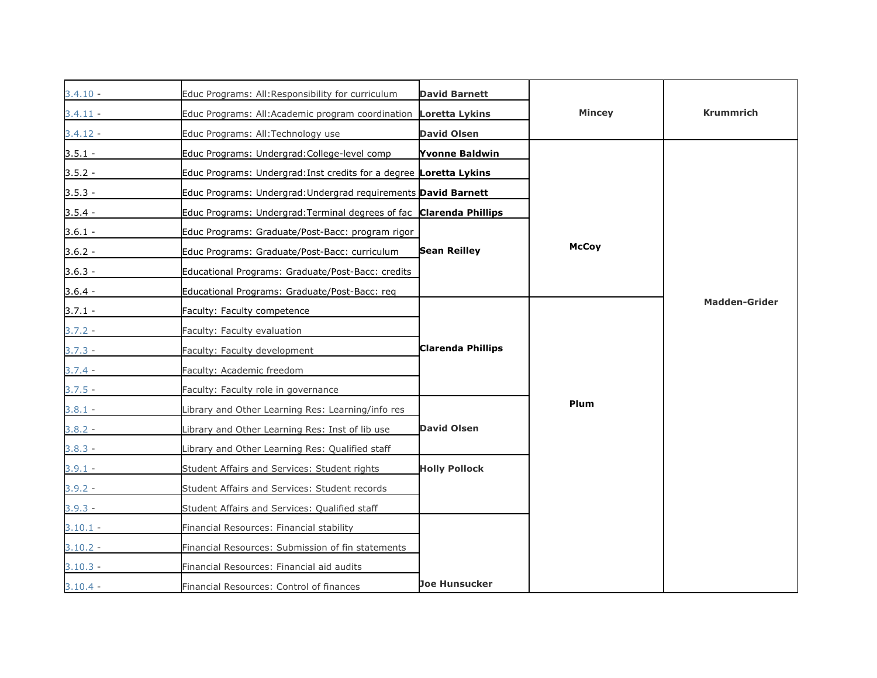| 3.4.10 -   | Educ Programs: All: Responsibility for curriculum                   | <b>David Barnett</b> |               |                      |
|------------|---------------------------------------------------------------------|----------------------|---------------|----------------------|
| $3.4.11 -$ | Educ Programs: All: Academic program coordination Loretta Lykins    |                      | <b>Mincey</b> | <b>Krummrich</b>     |
| $3.4.12 -$ | Educ Programs: All:Technology use                                   | <b>David Olsen</b>   |               |                      |
| $3.5.1 -$  | Educ Programs: Undergrad: College-level comp                        | Yvonne Baldwin       |               |                      |
| $3.5.2 -$  | Educ Programs: Undergrad: Inst credits for a degree Loretta Lykins  |                      |               |                      |
| $3.5.3 -$  | Educ Programs: Undergrad: Undergrad requirements David Barnett      |                      |               |                      |
| $3.5.4 -$  | Educ Programs: Undergrad: Terminal degrees of fac Clarenda Phillips |                      |               |                      |
| $3.6.1 -$  | Educ Programs: Graduate/Post-Bacc: program rigor                    |                      |               |                      |
| $3.6.2 -$  | Educ Programs: Graduate/Post-Bacc: curriculum                       | <b>Sean Reilley</b>  | <b>McCoy</b>  |                      |
| $3.6.3 -$  | Educational Programs: Graduate/Post-Bacc: credits                   |                      |               |                      |
| $3.6.4 -$  | Educational Programs: Graduate/Post-Bacc: req                       |                      |               |                      |
| $3.7.1 -$  | Faculty: Faculty competence                                         |                      |               | <b>Madden-Grider</b> |
| $3.7.2 -$  | Faculty: Faculty evaluation                                         |                      |               |                      |
| $3.7.3 -$  | Faculty: Faculty development                                        | Clarenda Phillips    |               |                      |
| $3.7.4 -$  | Faculty: Academic freedom                                           |                      |               |                      |
| $3.7.5 -$  | Faculty: Faculty role in governance                                 |                      |               |                      |
| 3.8.1 -    | Library and Other Learning Res: Learning/info res                   |                      | Plum          |                      |
| $3.8.2 -$  | Library and Other Learning Res: Inst of lib use                     | <b>David Olsen</b>   |               |                      |
| $3.8.3 -$  | Library and Other Learning Res: Qualified staff                     |                      |               |                      |
| $3.9.1 -$  | Student Affairs and Services: Student rights                        | <b>Holly Pollock</b> |               |                      |
| $3.9.2 -$  | Student Affairs and Services: Student records                       |                      |               |                      |
| $3.9.3 -$  | Student Affairs and Services: Qualified staff                       |                      |               |                      |
| $3.10.1 -$ | Financial Resources: Financial stability                            |                      |               |                      |
| $3.10.2 -$ | Financial Resources: Submission of fin statements                   |                      |               |                      |
| $3.10.3 -$ | Financial Resources: Financial aid audits                           |                      |               |                      |
| $3.10.4 -$ | Financial Resources: Control of finances                            | Joe Hunsucker        |               |                      |